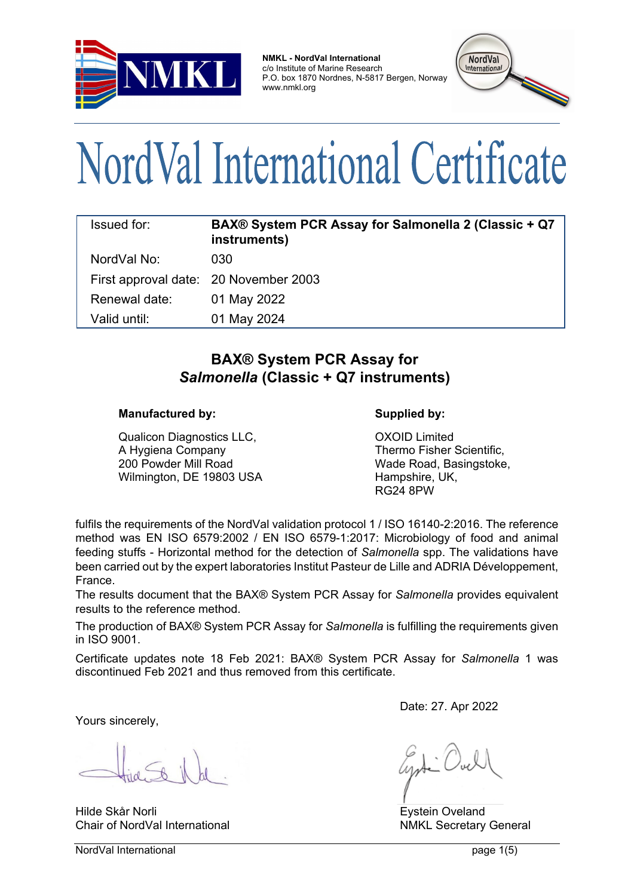

**NMKL - NordVal International** c/o Institute of Marine Research P.O. box 1870 Nordnes, N-5817 Bergen, Norway www.nmkl.org



# NordVal International Certificate

| Issued for:                           | BAX® System PCR Assay for Salmonella 2 (Classic + Q7<br>instruments) |
|---------------------------------------|----------------------------------------------------------------------|
| NordVal No:                           | 030                                                                  |
| First approval date: 20 November 2003 |                                                                      |
| Renewal date:                         | 01 May 2022                                                          |
| Valid until:                          | 01 May 2024                                                          |

## **BAX® System PCR Assay for**  *Salmonella* **(Classic + Q7 instruments)**

#### **Manufactured by: Supplied by:**

Qualicon Diagnostics LLC, A Hygiena Company 200 Powder Mill Road Wilmington, DE 19803 USA

OXOID Limited Thermo Fisher Scientific, Wade Road, Basingstoke, Hampshire, UK, RG24 8PW

fulfils the requirements of the NordVal validation protocol 1 / ISO 16140-2:2016. The reference method was EN ISO 6579:2002 / EN ISO 6579-1:2017: Microbiology of food and animal feeding stuffs - Horizontal method for the detection of *Salmonella* spp. The validations have been carried out by the expert laboratories Institut Pasteur de Lille and ADRIA Développement, France.

The results document that the BAX® System PCR Assay for *Salmonella* provides equivalent results to the reference method.

The production of BAX® System PCR Assay for *Salmonella* is fulfilling the requirements given in ISO 9001.

Certificate updates note 18 Feb 2021: BAX® System PCR Assay for *Salmonella* 1 was discontinued Feb 2021 and thus removed from this certificate.

Date: 27. Apr 2022

Yours sincerely,

Hilde Skår Norli **Eystein Oveland** Chair of NordVal International NMKL Secretary General NMKL Secretary General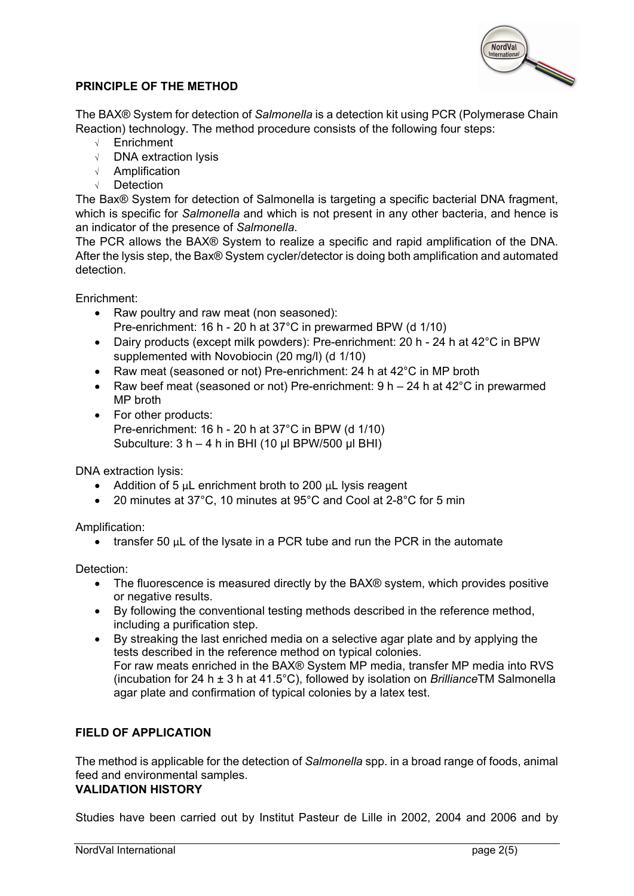

#### **PRINCIPLE OF THE METHOD**

The BAX® System for detection of *Salmonella* is a detection kit using PCR (Polymerase Chain Reaction) technology. The method procedure consists of the following four steps:

- <sup>√</sup> Enrichment
- <sup>√</sup> DNA extraction lysis
- <sup>√</sup> Amplification
- <sup>√</sup> Detection

The Bax® System for detection of Salmonella is targeting a specific bacterial DNA fragment, which is specific for *Salmonella* and which is not present in any other bacteria, and hence is an indicator of the presence of *Salmonella*.

The PCR allows the BAX® System to realize a specific and rapid amplification of the DNA. After the lysis step, the Bax® System cycler/detector is doing both amplification and automated detection.

Enrichment:

- Raw poultry and raw meat (non seasoned): Pre-enrichment: 16 h - 20 h at 37°C in prewarmed BPW (d 1/10)
- Dairy products (except milk powders): Pre-enrichment: 20 h 24 h at 42°C in BPW supplemented with Novobiocin (20 mg/l) (d 1/10)
- Raw meat (seasoned or not) Pre-enrichment: 24 h at 42°C in MP broth
- Raw beef meat (seasoned or not) Pre-enrichment:  $9 h 24 h$  at  $42^{\circ}$ C in prewarmed MP broth
- For other products: Pre-enrichment: 16 h - 20 h at 37°C in BPW (d 1/10) Subculture:  $3 h - 4 h$  in BHI (10 μl BPW/500 μl BHI)

DNA extraction lysis:

- Addition of 5 μL enrichment broth to 200 μL lysis reagent
- 20 minutes at 37°C, 10 minutes at 95°C and Cool at 2-8°C for 5 min

Amplification:

 $\bullet$  transfer 50  $\mu$ L of the lysate in a PCR tube and run the PCR in the automate

Detection:

- The fluorescence is measured directly by the BAX® system, which provides positive or negative results.
- By following the conventional testing methods described in the reference method, including a purification step.
- By streaking the last enriched media on a selective agar plate and by applying the tests described in the reference method on typical colonies. For raw meats enriched in the BAX® System MP media, transfer MP media into RVS (incubation for 24 h ± 3 h at 41.5°C), followed by isolation on *Brilliance*TM Salmonella agar plate and confirmation of typical colonies by a latex test.

#### **FIELD OF APPLICATION**

The method is applicable for the detection of *Salmonella* spp. in a broad range of foods, animal feed and environmental samples.

#### **VALIDATION HISTORY**

Studies have been carried out by Institut Pasteur de Lille in 2002, 2004 and 2006 and by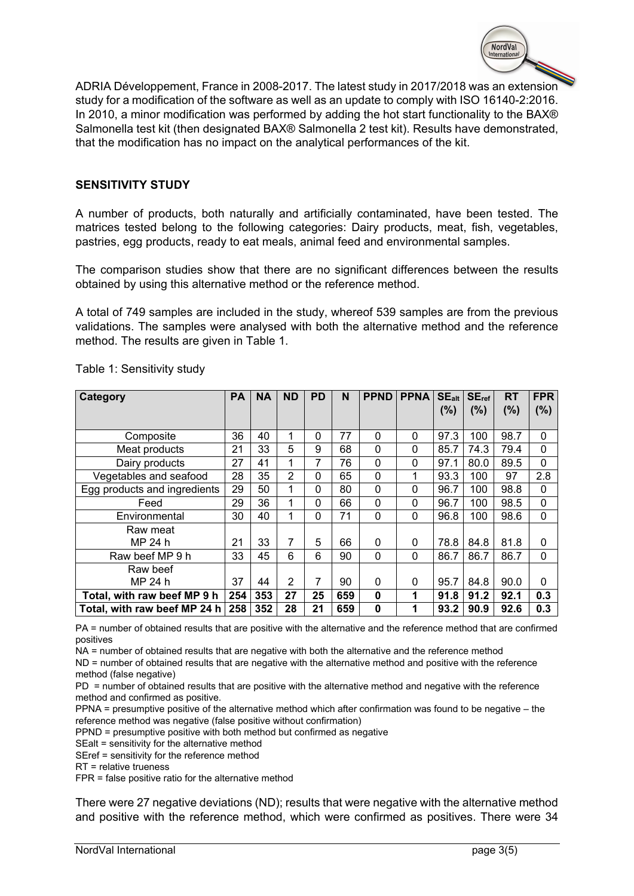

ADRIA Développement, France in 2008-2017. The latest study in 2017/2018 was an extension study for a modification of the software as well as an update to comply with ISO 16140-2:2016. In 2010, a minor modification was performed by adding the hot start functionality to the BAX® Salmonella test kit (then designated BAX® Salmonella 2 test kit). Results have demonstrated, that the modification has no impact on the analytical performances of the kit.

#### **SENSITIVITY STUDY**

A number of products, both naturally and artificially contaminated, have been tested. The matrices tested belong to the following categories: Dairy products, meat, fish, vegetables, pastries, egg products, ready to eat meals, animal feed and environmental samples.

The comparison studies show that there are no significant differences between the results obtained by using this alternative method or the reference method.

A total of 749 samples are included in the study, whereof 539 samples are from the previous validations. The samples were analysed with both the alternative method and the reference method. The results are given in Table 1.

| Category                     | <b>PA</b> | <b>NA</b> | <b>ND</b> | <b>PD</b>   | N   | <b>PPND</b>  | <b>PPNA</b>  | SE <sub>alt</sub> | SE <sub>ref</sub> | <b>RT</b> | <b>FPR</b> |
|------------------------------|-----------|-----------|-----------|-------------|-----|--------------|--------------|-------------------|-------------------|-----------|------------|
|                              |           |           |           |             |     |              |              | (%)               | (%)               | (%)       | (%)        |
|                              |           |           |           |             |     |              |              |                   |                   |           |            |
| Composite                    | 36        | 40        |           | $\mathbf 0$ | 77  | $\mathbf 0$  | $\mathbf{0}$ | 97.3              | 100               | 98.7      | 0          |
| Meat products                | 21        | 33        | 5         | 9           | 68  | 0            | 0            | 85.7              | 74.3              | 79.4      | 0          |
| Dairy products               | 27        | 41        | 1         | 7           | 76  | 0            | $\Omega$     | 97.1              | 80.0              | 89.5      | 0          |
| Vegetables and seafood       | 28        | 35        | 2         | 0           | 65  | 0            | 1            | 93.3              | 100               | 97        | 2.8        |
| Egg products and ingredients | 29        | 50        |           | 0           | 80  | $\mathbf 0$  | $\mathbf{0}$ | 96.7              | 100               | 98.8      | 0          |
| Feed                         | 29        | 36        | 1         | 0           | 66  | $\mathbf{0}$ | $\Omega$     | 96.7              | 100               | 98.5      | 0          |
| Environmental                | 30        | 40        |           | 0           | 71  | $\mathbf 0$  | $\mathbf{0}$ | 96.8              | 100               | 98.6      | 0          |
| Raw meat                     |           |           |           |             |     |              |              |                   |                   |           |            |
| MP 24 h                      | 21        | 33        | 7         | 5           | 66  | 0            | 0            | 78.8              | 84.8              | 81.8      | 0          |
| Raw beef MP 9 h              | 33        | 45        | 6         | 6           | 90  | 0            | $\mathbf 0$  | 86.7              | 86.7              | 86.7      | 0          |
| Raw beef                     |           |           |           |             |     |              |              |                   |                   |           |            |
| MP 24 h                      | 37        | 44        | 2         | 7           | 90  | 0            | 0            | 95.7              | 84.8              | 90.0      | 0          |
| Total, with raw beef MP 9 h  | 254       | 353       | 27        | 25          | 659 | 0            | 1            | 91.8              | 91.2              | 92.1      | 0.3        |
| Total, with raw beef MP 24 h | 258       | 352       | 28        | 21          | 659 | 0            | 1            | 93.2              | 90.9              | 92.6      | 0.3        |

Table 1: Sensitivity study

PA = number of obtained results that are positive with the alternative and the reference method that are confirmed positives

NA = number of obtained results that are negative with both the alternative and the reference method

ND = number of obtained results that are negative with the alternative method and positive with the reference method (false negative)

PD = number of obtained results that are positive with the alternative method and negative with the reference method and confirmed as positive.

PPNA = presumptive positive of the alternative method which after confirmation was found to be negative – the reference method was negative (false positive without confirmation)

PPND = presumptive positive with both method but confirmed as negative

SEalt = sensitivity for the alternative method

SEref = sensitivity for the reference method

RT = relative trueness

FPR = false positive ratio for the alternative method

There were 27 negative deviations (ND); results that were negative with the alternative method and positive with the reference method, which were confirmed as positives. There were 34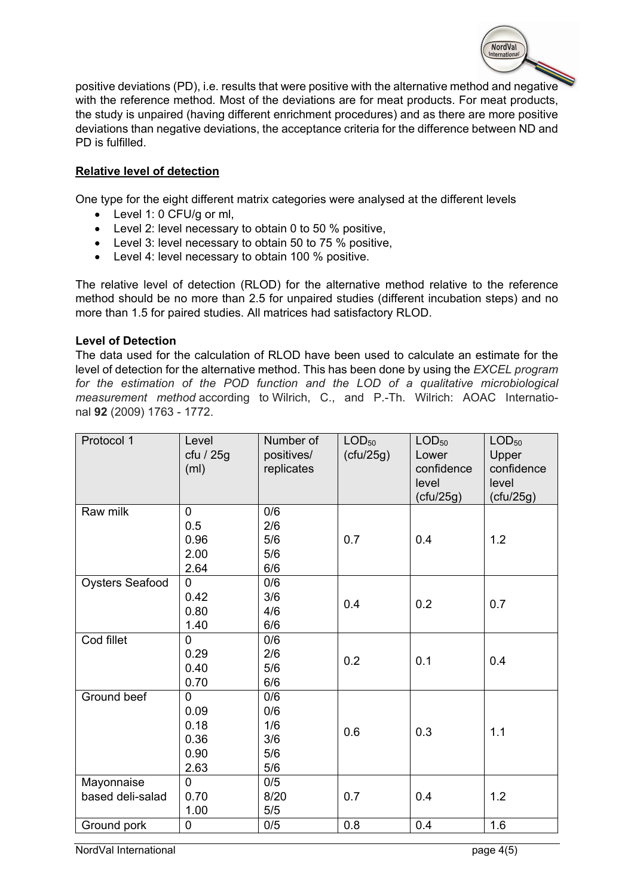

positive deviations (PD), i.e. results that were positive with the alternative method and negative with the reference method*.* Most of the deviations are for meat products. For meat products, the study is unpaired (having different enrichment procedures) and as there are more positive deviations than negative deviations, the acceptance criteria for the difference between ND and PD is fulfilled.

### **Relative level of detection**

One type for the eight different matrix categories were analysed at the different levels

- Level 1: 0 CFU/g or ml,
- Level 2: level necessary to obtain 0 to 50 % positive,
- Level 3: level necessary to obtain 50 to 75 % positive,
- Level 4: level necessary to obtain 100 % positive.

The relative level of detection (RLOD) for the alternative method relative to the reference method should be no more than 2.5 for unpaired studies (different incubation steps) and no more than 1.5 for paired studies. All matrices had satisfactory RLOD.

#### **Level of Detection**

The data used for the calculation of RLOD have been used to calculate an estimate for the level of detection for the alternative method. This has been done by using the *EXCEL program for the estimation of the POD function and the LOD of a qualitative microbiological measurement method* according to Wilrich, C., and P.-Th. Wilrich: AOAC International **92** (2009) 1763 - 1772.

| Protocol 1             | Level<br>cfu / 25g<br>(m <sub>l</sub> ) | Number of<br>positives/<br>replicates | LOD <sub>50</sub><br>(ctu/25g) | $\mathsf{LOD}_{50}$<br>Lower<br>confidence<br>level<br>(ctu/25g) | $LOD_{50}$<br>Upper<br>confidence<br>level<br>(ctu/25g) |
|------------------------|-----------------------------------------|---------------------------------------|--------------------------------|------------------------------------------------------------------|---------------------------------------------------------|
| Raw milk               | $\mathbf 0$                             | 0/6                                   |                                |                                                                  |                                                         |
|                        | 0.5                                     | 2/6                                   |                                |                                                                  |                                                         |
|                        | 0.96                                    | 5/6                                   | 0.7                            | 0.4                                                              | 1.2                                                     |
|                        | 2.00                                    | 5/6                                   |                                |                                                                  |                                                         |
|                        | 2.64                                    | 6/6                                   |                                |                                                                  |                                                         |
| <b>Oysters Seafood</b> | $\mathbf 0$                             | 0/6                                   |                                |                                                                  |                                                         |
|                        | 0.42                                    | 3/6                                   | 0.4                            | 0.2                                                              | 0.7                                                     |
|                        | 0.80                                    | 4/6                                   |                                |                                                                  |                                                         |
|                        | 1.40                                    | 6/6                                   |                                |                                                                  |                                                         |
| Cod fillet             | $\Omega$                                | 0/6                                   |                                |                                                                  |                                                         |
|                        | 0.29                                    | 2/6                                   | 0.2                            | 0.1                                                              | 0.4                                                     |
|                        | 0.40                                    | 5/6                                   |                                |                                                                  |                                                         |
|                        | 0.70                                    | 6/6                                   |                                |                                                                  |                                                         |
| Ground beef            | $\overline{0}$                          | 0/6                                   |                                |                                                                  |                                                         |
|                        | 0.09                                    | 0/6                                   |                                |                                                                  |                                                         |
|                        | 0.18                                    | 1/6                                   | 0.6                            | 0.3                                                              | 1.1                                                     |
|                        | 0.36                                    | 3/6                                   |                                |                                                                  |                                                         |
|                        | 0.90                                    | 5/6                                   |                                |                                                                  |                                                         |
|                        | 2.63                                    | 5/6                                   |                                |                                                                  |                                                         |
| Mayonnaise             | 0                                       | 0/5                                   |                                |                                                                  |                                                         |
| based deli-salad       | 0.70                                    | 8/20                                  | 0.7                            | 0.4                                                              | 1.2                                                     |
|                        | 1.00                                    | 5/5                                   |                                |                                                                  |                                                         |
| Ground pork            | $\mathbf 0$                             | 0/5                                   | 0.8                            | 0.4                                                              | 1.6                                                     |

NordVal International page 4(5)